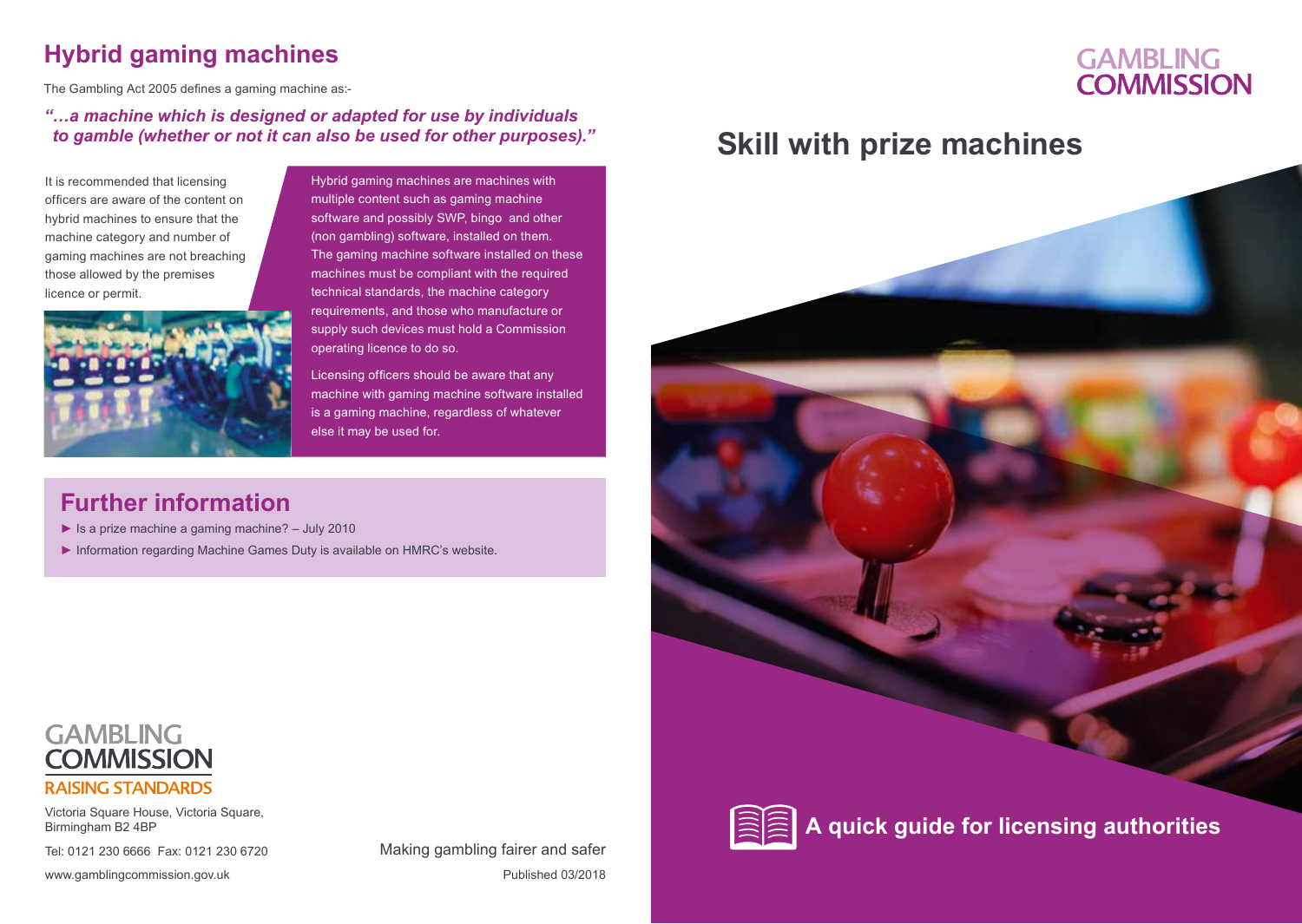### **Hybrid gaming machines**

The Gambling Act 2005 defines a gaming machine as:-

#### *"…a machine which is designed or adapted for use by individuals to gamble (whether or not it can also be used for other purposes)."*

It is recommended that licensing officers are aware of the content on hybrid machines to ensure that the machine category and number of gaming machines are not breaching those allowed by the premises licence or permit.



Hybrid gaming machines are machines with multiple content such as gaming machine software and possibly SWP, bingo and other (non gambling) software, installed on them. The gaming machine software installed on these machines must be compliant with the required technical standards, the machine category requirements, and those who manufacture or supply such devices must hold a Commission operating licence to do so.

Licensing officers should be aware that any machine with gaming machine software installed is a gaming machine, regardless of whatever else it may be used for.

### **Further information**

- $\blacktriangleright$  Is a prize machine a gaming machine? July 2010
- ► Information regarding Machine Games Duty is available on HMRC's website.

## **Skill with prize machines**

**GAMBLING COMMISSION** 



**A quick guide for licensing authorities** 



Victoria Square House, Victoria Square, Birmingham B2 4BP

Tel: 0121 230 6666 Fax: 0121 230 6720

www.gamblingcommission.gov.uk example and the published 03/2018 Making gambling fairer and safer